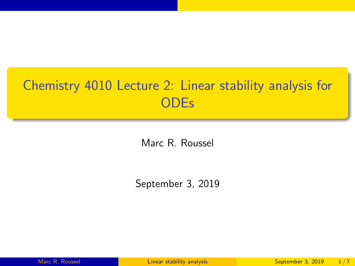# <span id="page-0-0"></span>Chemistry 4010 Lecture 2: Linear stability analysis for **ODEs**

Marc R. Roussel

September 3, 2019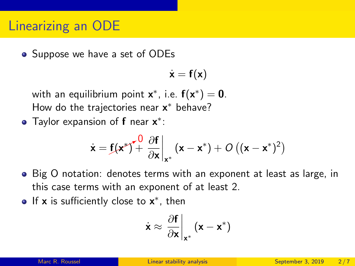## Linearizing an ODE

• Suppose we have a set of ODEs

$$
\dot{\mathbf{x}} = \mathbf{f}(\mathbf{x})
$$

with an equilibrium point  $\mathsf{x}^*$ , i.e.  $\mathsf{f}(\mathsf{x}^*) = \mathsf{0}$ . How do the trajectories near x\* behave?

Taylor expansion of  $f$  near  $x^*$ :

$$
\dot{\mathbf{x}} = \mathbf{f}(\mathbf{x}^*)^{\mathbf{v}} + \left. \frac{\partial \mathbf{f}}{\partial \mathbf{x}} \right|_{\mathbf{x}^*} (\mathbf{x} - \mathbf{x}^*) + O\left( (\mathbf{x} - \mathbf{x}^*)^2 \right)
$$

- Big O notation: denotes terms with an exponent at least as large, in this case terms with an exponent of at least 2.
- If  $x$  is sufficiently close to  $x^*$ , then

$$
\dot{\mathbf{x}} \approx \left. \frac{\partial \mathbf{f}}{\partial \mathbf{x}} \right|_{\mathbf{x}^*} (\mathbf{x} - \mathbf{x}^*)
$$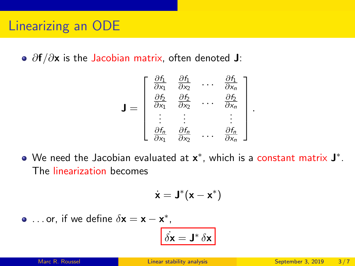•  $\partial f/\partial x$  is the Jacobian matrix, often denoted J:

$$
\mathbf{J} = \begin{bmatrix} \frac{\partial f_1}{\partial x_1} & \frac{\partial f_1}{\partial x_2} & \cdots & \frac{\partial f_1}{\partial x_n} \\ \frac{\partial f_2}{\partial x_1} & \frac{\partial f_2}{\partial x_2} & \cdots & \frac{\partial f_2}{\partial x_n} \\ \vdots & \vdots & & \vdots \\ \frac{\partial f_n}{\partial x_1} & \frac{\partial f_n}{\partial x_2} & \cdots & \frac{\partial f_n}{\partial x_n} \end{bmatrix}
$$

.

We need the Jacobian evaluated at  $\mathsf{x}^*$ , which is a constant matrix  $\mathsf{J}^*$ . The linearization becomes

$$
\dot{\textbf{x}} = \textbf{J}^*(\textbf{x} - \textbf{x}^*)
$$

... or, if we define  $\delta x = x - x^*$ ,

$$
\dot{\delta {\bf x}} = {\bf J}^* \, \delta {\bf x}
$$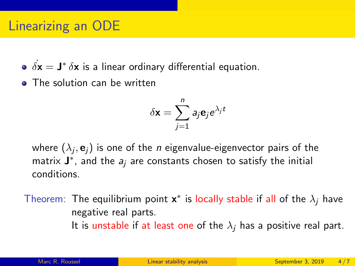# Linearizing an ODE

- $\dot{\delta {\mathbf x}} = {\mathbf J}^* \, \delta {\mathbf x}$  is a linear ordinary differential equation.
- The solution can be written

$$
\delta \mathbf{x} = \sum_{j=1}^n a_j \mathbf{e}_j e^{\lambda_j t}
$$

where  $(\lambda_j, \mathbf{e}_j)$  is one of the  $\emph{n}$  eigenvalue-eigenvector pairs of the matrix  $\mathbf{J}^*$ , and the  $a_j$  are constants chosen to satisfy the initial conditions.

Theorem: The equilibrium point  $\mathbf{x}^*$  is locally stable if all of the  $\lambda_j$  have negative real parts. It is unstable if at least one of the  $\lambda_i$  has a positive real part.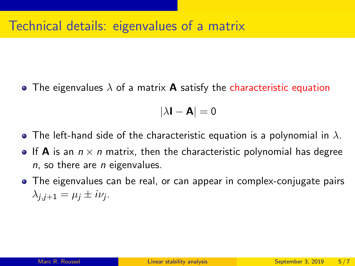#### Technical details: eigenvalues of a matrix

• The eigenvalues  $\lambda$  of a matrix **A** satisfy the characteristic equation

 $|\lambda I - A| = 0$ 

- The left-hand side of the characteristic equation is a polynomial in  $\lambda$ .
- If **A** is an  $n \times n$  matrix, then the characteristic polynomial has degree  $n$ , so there are  $n$  eigenvalues.
- The eigenvalues can be real, or can appear in complex-conjugate pairs  $\lambda_{j,j+1} = \mu_j \pm i\nu_j.$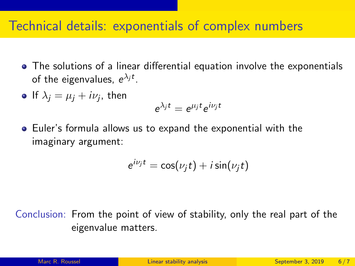#### Technical details: exponentials of complex numbers

- The solutions of a linear differential equation involve the exponentials of the eigenvalues,  $e^{\lambda_j t}$ .
- If  $\lambda_j = \mu_j + i\nu_j$ , then

$$
e^{\lambda_j t}=e^{\mu_j t}e^{i\nu_j t}
$$

Euler's formula allows us to expand the exponential with the imaginary argument:

$$
e^{i\nu_j t} = \cos(\nu_j t) + i \sin(\nu_j t)
$$

Conclusion: From the point of view of stability, only the real part of the eigenvalue matters.